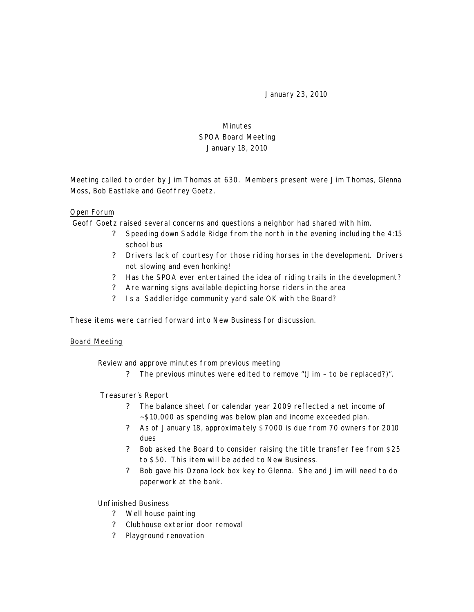January 23, 2010

# Minutes SPOA Board Meeting January 18, 2010

Meeting called to order by Jim Thomas at 630. Members present were Jim Thomas, Glenna Moss, Bob Eastlake and Geoffrey Goetz.

### Open Forum

Geoff Goetz raised several concerns and questions a neighbor had shared with him.

- ? Speeding down Saddle Ridge from the north in the evening including the 4:15 school bus
- ? Drivers lack of courtesy for those riding horses in the development. Drivers not slowing and even honking!
- ? Has the SPOA ever entertained the idea of riding trails in the development?
- ? Are warning signs available depicting horse riders in the area
- ? Is a Saddleridge community yard sale OK with the Board?

These items were carried forward into New Business for discussion.

#### Board Meeting

Review and approve minutes from previous meeting

? The previous minutes were edited to remove "(Jim – to be replaced?)".

#### Treasurer's Report

- ? The balance sheet for calendar year 2009 reflected a net income of ~\$10,000 as spending was below plan and income exceeded plan.
- ? As of January 18, approxima tely \$7000 is due from 70 owners for 2010 dues
- ? Bob asked the Board to consider raising the title transfer fee from \$25 to \$50. This item will be added to New Business.
- ? Bob gave his Ozona lock box key to Glenna. She and Jim will need to do paperwork at the bank.

#### Unfinished Business

- ? Well house painting
- ? Clubhouse exterior door removal
- ? Playground renovation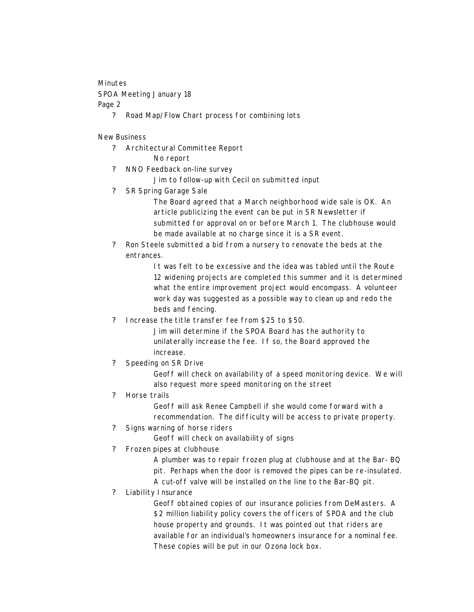## Minutes

SPOA Meeting January 18 Page 2

? Road Map/Flow Chart process for combining lots

### New Business

- ? Architectural Committee Report No report
- ? NNO Feedback on-line survey
	- Jim to follow-up with Cecil on submitted input
- ? SR Spring Garage Sale
	- The Board agreed that a March neighborhood wide sale is OK. An article publicizing the event can be put in SR Newsletter if submitted for approval on or before March 1. The clubhouse would be made available at no charge since it is a SR event.
- ? Ron Steele submitted a bid from a nursery to renovate the beds at the entrances.

It was felt to be excessive and the idea was tabled until the Route 12 widening projects are completed this summer and it is determined what the entire improvement project would encompass. A volunteer work day was suggested as a possible way to clean up and redo the beds and fencing.

? Increase the title transfer fee from \$25 to \$50.

Jim will determine if the SPOA Board has the authority to unilaterally increase the fee. If so, the Board approved the increase.

? Speeding on SR Drive

Geoff will check on availability of a speed monitoring device. We will also request more speed monitoring on the street

## ? Horse trails

Geoff will ask Renee Campbell if she would come forward with a recommendation. The difficulty will be access to private property.

? Signs warning of horse riders

Geoff will check on availability of signs

? Frozen pipes at clubhouse

A plumber was to repair frozen plug at clubhouse and at the Bar- BQ pit. Perhaps when the door is removed the pipes can be re-insulated. A cut-off valve will be installed on the line to the Bar-BQ pit.

? Liability Insurance

Geoff obtained copies of our insurance policies from DeMasters. A \$2 million liability policy covers the officers of SPOA and the club house property and grounds. It was pointed out that riders are available for an individual's homeowners insurance for a nominal fee. These copies will be put in our Ozona lock box.